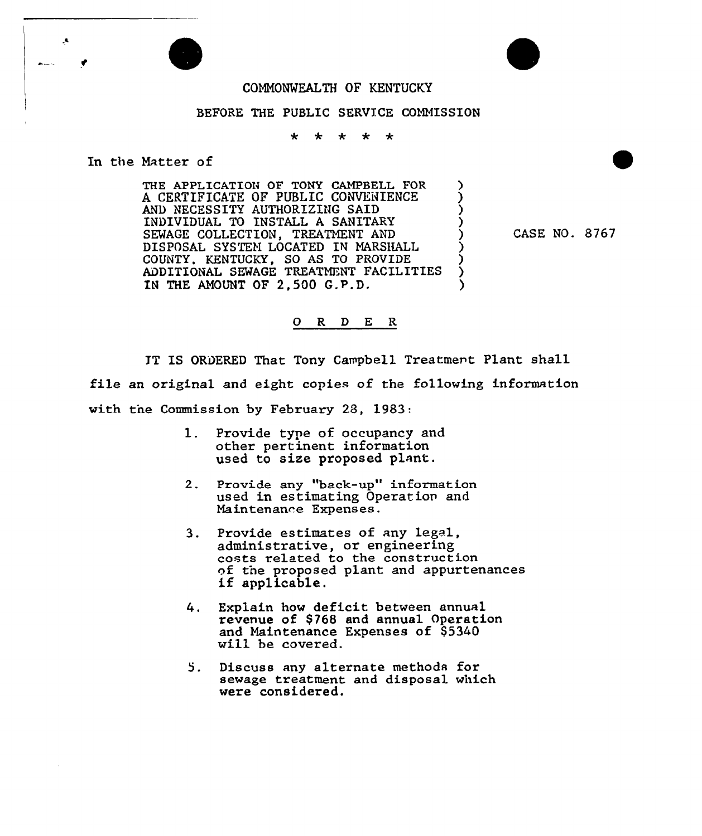

## BEFORE THE PUBLIC SERVICE COMMISSION

 $\star$ \* \* \*  $\star$ 

In the Matter of

Ą

THE APPLICATION OF TONY CAMPBELL FOR  $\rightarrow$  A CERTIFICATE OF PUBLIC CONVENIENCE  $\rightarrow$ A CERTIFICATE OF PUBLIC CONVENIENCE AND NECESSITY AUTHORIZING SAID ) INDIVIDUAL TO INSTALL A SANITARY SEWAGE COLLECTION, TREATMENT AND DISPOSAL SYSTEM LOCATED IN MARSHALL ) COUNTY, KENTUCKY, SO AS TO PROVIDE ) ADDITIONAL SEWAGE TREATMENT FACILITIES ) IN THE AMOUNT OF 2,500 G.P.D.

CASE NO. 8767

## 0 R <sup>D</sup> E R

IT IS ORDERED That Tony Campbell Treatment Plant shall file an original and eight copies of the following information with tne Commission by February 28, 1983:

- 1. Provide type of occupancy and other pertinent information used to size proposed plant.
- 2. Provide any "back-up" information used in estimating Operation and Maintenance Expenses.
- 3. Provide estimates of any legal, administrative, or engineering costs related to the construction of the proposed plant and appurtenances if applicable.
- 4. Explain how deficit between annual revenue of \$768 and annual Operation and Maintenance Expenses of \$5340 will be covered.
- 5. Discuss any alternate methods for sewage treatment and disposal which were considered.